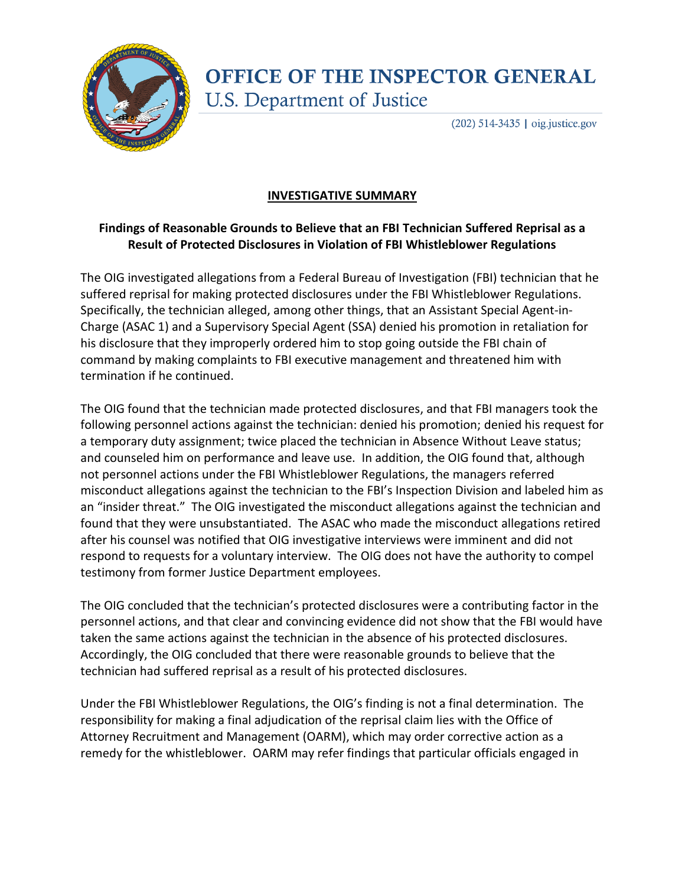

## **OFFICE OF THE INSPECTOR GENERAL U.S. Department of Justice**

 $(202)$  514-3435 | oig.justice.gov

## **INVESTIGATIVE SUMMARY**

## **Findings of Reasonable Grounds to Believe that an FBI Technician Suffered Reprisal as a Result of Protected Disclosures in Violation of FBI Whistleblower Regulations**

The OIG investigated allegations from a Federal Bureau of Investigation (FBI) technician that he suffered reprisal for making protected disclosures under the FBI Whistleblower Regulations. Specifically, the technician alleged, among other things, that an Assistant Special Agent-in-Charge (ASAC 1) and a Supervisory Special Agent (SSA) denied his promotion in retaliation for his disclosure that they improperly ordered him to stop going outside the FBI chain of command by making complaints to FBI executive management and threatened him with termination if he continued.

The OIG found that the technician made protected disclosures, and that FBI managers took the following personnel actions against the technician: denied his promotion; denied his request for a temporary duty assignment; twice placed the technician in Absence Without Leave status; and counseled him on performance and leave use. In addition, the OIG found that, although not personnel actions under the FBI Whistleblower Regulations, the managers referred misconduct allegations against the technician to the FBI's Inspection Division and labeled him as an "insider threat." The OIG investigated the misconduct allegations against the technician and found that they were unsubstantiated. The ASAC who made the misconduct allegations retired after his counsel was notified that OIG investigative interviews were imminent and did not respond to requests for a voluntary interview. The OIG does not have the authority to compel testimony from former Justice Department employees.

The OIG concluded that the technician's protected disclosures were a contributing factor in the personnel actions, and that clear and convincing evidence did not show that the FBI would have taken the same actions against the technician in the absence of his protected disclosures. Accordingly, the OIG concluded that there were reasonable grounds to believe that the technician had suffered reprisal as a result of his protected disclosures.

Under the FBI Whistleblower Regulations, the OIG's finding is not a final determination. The responsibility for making a final adjudication of the reprisal claim lies with the Office of Attorney Recruitment and Management (OARM), which may order corrective action as a remedy for the whistleblower. OARM may refer findings that particular officials engaged in